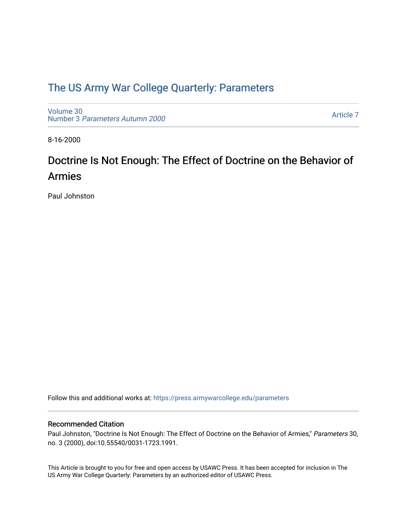## [The US Army War College Quarterly: Parameters](https://press.armywarcollege.edu/parameters)

[Volume 30](https://press.armywarcollege.edu/parameters/vol30) Number 3 [Parameters Autumn 2000](https://press.armywarcollege.edu/parameters/vol30/iss3)

[Article 7](https://press.armywarcollege.edu/parameters/vol30/iss3/7) 

8-16-2000

# Doctrine Is Not Enough: The Effect of Doctrine on the Behavior of Armies

Paul Johnston

Follow this and additional works at: [https://press.armywarcollege.edu/parameters](https://press.armywarcollege.edu/parameters?utm_source=press.armywarcollege.edu%2Fparameters%2Fvol30%2Fiss3%2F7&utm_medium=PDF&utm_campaign=PDFCoverPages) 

#### Recommended Citation

Paul Johnston, "Doctrine Is Not Enough: The Effect of Doctrine on the Behavior of Armies," Parameters 30, no. 3 (2000), doi:10.55540/0031-1723.1991.

This Article is brought to you for free and open access by USAWC Press. It has been accepted for inclusion in The US Army War College Quarterly: Parameters by an authorized editor of USAWC Press.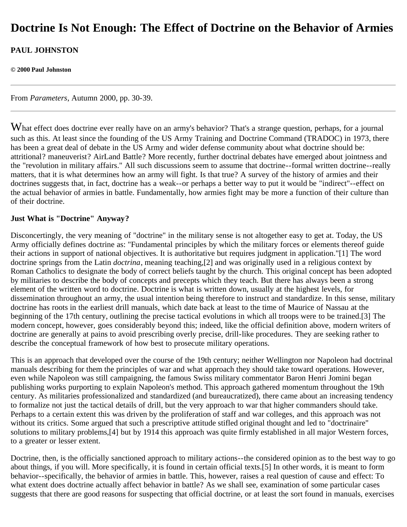## **Doctrine Is Not Enough: The Effect of Doctrine on the Behavior of Armies**

## **PAUL JOHNSTON**

#### **© 2000 Paul Johnston**

From *Parameters*, Autumn 2000, pp. 30-39.

What effect does doctrine ever really have on an army's behavior? That's a strange question, perhaps, for a journal such as this. At least since the founding of the US Army Training and Doctrine Command (TRADOC) in 1973, there has been a great deal of debate in the US Army and wider defense community about what doctrine should be: attritional? maneuverist? AirLand Battle? More recently, further doctrinal debates have emerged about jointness and the "revolution in military affairs." All such discussions seem to assume that doctrine--formal written doctrine--really matters, that it is what determines how an army will fight. Is that true? A survey of the history of armies and their doctrines suggests that, in fact, doctrine has a weak--or perhaps a better way to put it would be "indirect"--effect on the actual behavior of armies in battle. Fundamentally, how armies fight may be more a function of their culture than of their doctrine.

#### **Just What is "Doctrine" Anyway?**

Disconcertingly, the very meaning of "doctrine" in the military sense is not altogether easy to get at. Today, the US Army officially defines doctrine as: "Fundamental principles by which the military forces or elements thereof guide their actions in support of national objectives. It is authoritative but requires judgment in application."[1] The word doctrine springs from the Latin *doctrina*, meaning teaching,[2] and was originally used in a religious context by Roman Catholics to designate the body of correct beliefs taught by the church. This original concept has been adopted by militaries to describe the body of concepts and precepts which they teach. But there has always been a strong element of the written word to doctrine. Doctrine is what is written down, usually at the highest levels, for dissemination throughout an army, the usual intention being therefore to instruct and standardize. In this sense, military doctrine has roots in the earliest drill manuals, which date back at least to the time of Maurice of Nassau at the beginning of the 17th century, outlining the precise tactical evolutions in which all troops were to be trained.[3] The modern concept, however, goes considerably beyond this; indeed, like the official definition above, modern writers of doctrine are generally at pains to avoid prescribing overly precise, drill-like procedures. They are seeking rather to describe the conceptual framework of how best to prosecute military operations.

This is an approach that developed over the course of the 19th century; neither Wellington nor Napoleon had doctrinal manuals describing for them the principles of war and what approach they should take toward operations. However, even while Napoleon was still campaigning, the famous Swiss military commentator Baron Henri Jomini began publishing works purporting to explain Napoleon's method. This approach gathered momentum throughout the 19th century. As militaries professionalized and standardized (and bureaucratized), there came about an increasing tendency to formalize not just the tactical details of drill, but the very approach to war that higher commanders should take. Perhaps to a certain extent this was driven by the proliferation of staff and war colleges, and this approach was not without its critics. Some argued that such a prescriptive attitude stifled original thought and led to "doctrinaire" solutions to military problems,[4] but by 1914 this approach was quite firmly established in all major Western forces, to a greater or lesser extent.

Doctrine, then, is the officially sanctioned approach to military actions--the considered opinion as to the best way to go about things, if you will. More specifically, it is found in certain official texts.[5] In other words, it is meant to form behavior--specifically, the behavior of armies in battle. This, however, raises a real question of cause and effect: To what extent does doctrine actually affect behavior in battle? As we shall see, examination of some particular cases suggests that there are good reasons for suspecting that official doctrine, or at least the sort found in manuals, exercises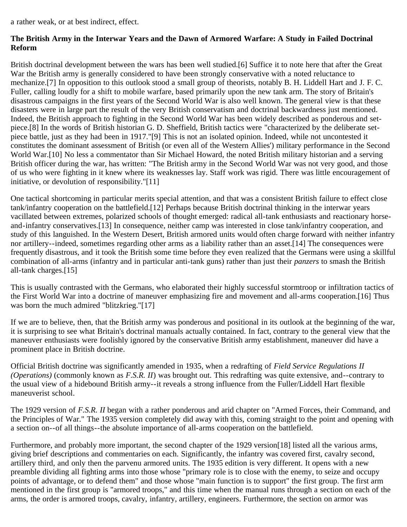a rather weak, or at best indirect, effect.

### **The British Army in the Interwar Years and the Dawn of Armored Warfare: A Study in Failed Doctrinal Reform**

British doctrinal development between the wars has been well studied.[6] Suffice it to note here that after the Great War the British army is generally considered to have been strongly conservative with a noted reluctance to mechanize.[7] In opposition to this outlook stood a small group of theorists, notably B. H. Liddell Hart and J. F. C. Fuller, calling loudly for a shift to mobile warfare, based primarily upon the new tank arm. The story of Britain's disastrous campaigns in the first years of the Second World War is also well known. The general view is that these disasters were in large part the result of the very British conservatism and doctrinal backwardness just mentioned. Indeed, the British approach to fighting in the Second World War has been widely described as ponderous and setpiece.[8] In the words of British historian G. D. Sheffield, British tactics were "characterized by the deliberate setpiece battle, just as they had been in 1917."[9] This is not an isolated opinion. Indeed, while not uncontested it constitutes the dominant assessment of British (or even all of the Western Allies') military performance in the Second World War.<sup>[10]</sup> No less a commentator than Sir Michael Howard, the noted British military historian and a serving British officer during the war, has written: "The British army in the Second World War was not very good, and those of us who were fighting in it knew where its weaknesses lay. Staff work was rigid. There was little encouragement of initiative, or devolution of responsibility."[11]

One tactical shortcoming in particular merits special attention, and that was a consistent British failure to effect close tank/infantry cooperation on the battlefield.[12] Perhaps because British doctrinal thinking in the interwar years vacillated between extremes, polarized schools of thought emerged: radical all-tank enthusiasts and reactionary horseand-infantry conservatives.[13] In consequence, neither camp was interested in close tank/infantry cooperation, and study of this languished. In the Western Desert, British armored units would often charge forward with neither infantry nor artillery--indeed, sometimes regarding other arms as a liability rather than an asset.[14] The consequences were frequently disastrous, and it took the British some time before they even realized that the Germans were using a skillful combination of all-arms (infantry and in particular anti-tank guns) rather than just their *panzers* to smash the British all-tank charges.[15]

This is usually contrasted with the Germans, who elaborated their highly successful stormtroop or infiltration tactics of the First World War into a doctrine of maneuver emphasizing fire and movement and all-arms cooperation.[16] Thus was born the much admired "blitzkrieg."[17]

If we are to believe, then, that the British army was ponderous and positional in its outlook at the beginning of the war, it is surprising to see what Britain's doctrinal manuals actually contained. In fact, contrary to the general view that the maneuver enthusiasts were foolishly ignored by the conservative British army establishment, maneuver did have a prominent place in British doctrine.

Official British doctrine was significantly amended in 1935, when a redrafting of *Field Service Regulations II (Operations)* (commonly known as *F.S.R. II*) was brought out. This redrafting was quite extensive, and--contrary to the usual view of a hidebound British army--it reveals a strong influence from the Fuller/Liddell Hart flexible maneuverist school.

The 1929 version of *F.S.R. II* began with a rather ponderous and arid chapter on "Armed Forces, their Command, and the Principles of War." The 1935 version completely did away with this, coming straight to the point and opening with a section on--of all things--the absolute importance of all-arms cooperation on the battlefield.

Furthermore, and probably more important, the second chapter of the 1929 version[18] listed all the various arms, giving brief descriptions and commentaries on each. Significantly, the infantry was covered first, cavalry second, artillery third, and only then the parvenu armored units. The 1935 edition is very different. It opens with a new preamble dividing all fighting arms into those whose "primary role is to close with the enemy, to seize and occupy points of advantage, or to defend them" and those whose "main function is to support" the first group. The first arm mentioned in the first group is "armored troops," and this time when the manual runs through a section on each of the arms, the order is armored troops, cavalry, infantry, artillery, engineers. Furthermore, the section on armor was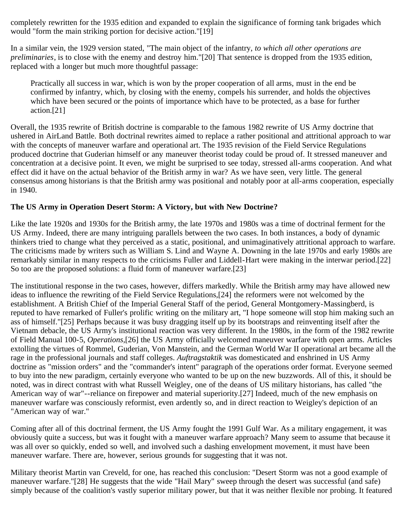completely rewritten for the 1935 edition and expanded to explain the significance of forming tank brigades which would "form the main striking portion for decisive action."[19]

In a similar vein, the 1929 version stated, "The main object of the infantry, *to which all other operations are preliminaries*, is to close with the enemy and destroy him."[20] That sentence is dropped from the 1935 edition, replaced with a longer but much more thoughtful passage:

Practically all success in war, which is won by the proper cooperation of all arms, must in the end be confirmed by infantry, which, by closing with the enemy, compels his surrender, and holds the objectives which have been secured or the points of importance which have to be protected, as a base for further action.[21]

Overall, the 1935 rewrite of British doctrine is comparable to the famous 1982 rewrite of US Army doctrine that ushered in AirLand Battle. Both doctrinal rewrites aimed to replace a rather positional and attritional approach to war with the concepts of maneuver warfare and operational art. The 1935 revision of the Field Service Regulations produced doctrine that Guderian himself or any maneuver theorist today could be proud of. It stressed maneuver and concentration at a decisive point. It even, we might be surprised to see today, stressed all-arms cooperation. And what effect did it have on the actual behavior of the British army in war? As we have seen, very little. The general consensus among historians is that the British army was positional and notably poor at all-arms cooperation, especially in 1940.

## **The US Army in Operation Desert Storm: A Victory, but with New Doctrine?**

Like the late 1920s and 1930s for the British army, the late 1970s and 1980s was a time of doctrinal ferment for the US Army. Indeed, there are many intriguing parallels between the two cases. In both instances, a body of dynamic thinkers tried to change what they perceived as a static, positional, and unimaginatively attritional approach to warfare. The criticisms made by writers such as William S. Lind and Wayne A. Downing in the late 1970s and early 1980s are remarkably similar in many respects to the criticisms Fuller and Liddell-Hart were making in the interwar period.[22] So too are the proposed solutions: a fluid form of maneuver warfare.[23]

The institutional response in the two cases, however, differs markedly. While the British army may have allowed new ideas to influence the rewriting of the Field Service Regulations,[24] the reformers were not welcomed by the establishment. A British Chief of the Imperial General Staff of the period, General Montgomery-Massingberd, is reputed to have remarked of Fuller's prolific writing on the military art, "I hope someone will stop him making such an ass of himself."[25] Perhaps because it was busy dragging itself up by its bootstraps and reinventing itself after the Vietnam debacle, the US Army's institutional reaction was very different. In the 1980s, in the form of the 1982 rewrite of Field Manual 100-5, *Operations*,[26] the US Army officially welcomed maneuver warfare with open arms. Articles extolling the virtues of Rommel, Guderian, Von Manstein, and the German World War II operational art became all the rage in the professional journals and staff colleges. *Auftragstaktik* was domesticated and enshrined in US Army doctrine as "mission orders" and the "commander's intent" paragraph of the operations order format. Everyone seemed to buy into the new paradigm, certainly everyone who wanted to be up on the new buzzwords. All of this, it should be noted, was in direct contrast with what Russell Weigley, one of the deans of US military historians, has called "the American way of war"--reliance on firepower and material superiority.[27] Indeed, much of the new emphasis on maneuver warfare was consciously reformist, even ardently so, and in direct reaction to Weigley's depiction of an "American way of war."

Coming after all of this doctrinal ferment, the US Army fought the 1991 Gulf War. As a military engagement, it was obviously quite a success, but was it fought with a maneuver warfare approach? Many seem to assume that because it was all over so quickly, ended so well, and involved such a dashing envelopment movement, it must have been maneuver warfare. There are, however, serious grounds for suggesting that it was not.

Military theorist Martin van Creveld, for one, has reached this conclusion: "Desert Storm was not a good example of maneuver warfare."[28] He suggests that the wide "Hail Mary" sweep through the desert was successful (and safe) simply because of the coalition's vastly superior military power, but that it was neither flexible nor probing. It featured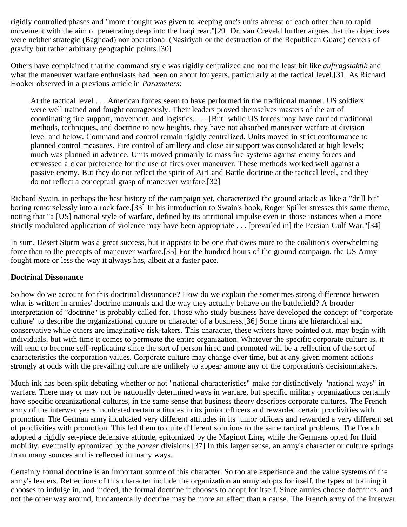rigidly controlled phases and "more thought was given to keeping one's units abreast of each other than to rapid movement with the aim of penetrating deep into the Iraqi rear."[29] Dr. van Creveld further argues that the objectives were neither strategic (Baghdad) nor operational (Nasiriyah or the destruction of the Republican Guard) centers of gravity but rather arbitrary geographic points.[30]

Others have complained that the command style was rigidly centralized and not the least bit like *auftragstaktik* and what the maneuver warfare enthusiasts had been on about for years, particularly at the tactical level.[31] As Richard Hooker observed in a previous article in *Parameters*:

At the tactical level . . . American forces seem to have performed in the traditional manner. US soldiers were well trained and fought courageously. Their leaders proved themselves masters of the art of coordinating fire support, movement, and logistics. . . . [But] while US forces may have carried traditional methods, techniques, and doctrine to new heights, they have not absorbed maneuver warfare at division level and below. Command and control remain rigidly centralized. Units moved in strict conformance to planned control measures. Fire control of artillery and close air support was consolidated at high levels; much was planned in advance. Units moved primarily to mass fire systems against enemy forces and expressed a clear preference for the use of fires over maneuver. These methods worked well against a passive enemy. But they do not reflect the spirit of AirLand Battle doctrine at the tactical level, and they do not reflect a conceptual grasp of maneuver warfare.[32]

Richard Swain, in perhaps the best history of the campaign yet, characterized the ground attack as like a "drill bit" boring remorselessly into a rock face.[33] In his introduction to Swain's book, Roger Spiller stresses this same theme, noting that "a [US] national style of warfare, defined by its attritional impulse even in those instances when a more strictly modulated application of violence may have been appropriate . . . [prevailed in] the Persian Gulf War."[34]

In sum, Desert Storm was a great success, but it appears to be one that owes more to the coalition's overwhelming force than to the precepts of maneuver warfare.[35] For the hundred hours of the ground campaign, the US Army fought more or less the way it always has, albeit at a faster pace.

#### **Doctrinal Dissonance**

So how do we account for this doctrinal dissonance? How do we explain the sometimes strong difference between what is written in armies' doctrine manuals and the way they actually behave on the battlefield? A broader interpretation of "doctrine" is probably called for. Those who study business have developed the concept of "corporate culture" to describe the organizational culture or character of a business.[36] Some firms are hierarchical and conservative while others are imaginative risk-takers. This character, these writers have pointed out, may begin with individuals, but with time it comes to permeate the entire organization. Whatever the specific corporate culture is, it will tend to become self-replicating since the sort of person hired and promoted will be a reflection of the sort of characteristics the corporation values. Corporate culture may change over time, but at any given moment actions strongly at odds with the prevailing culture are unlikely to appear among any of the corporation's decisionmakers.

Much ink has been spilt debating whether or not "national characteristics" make for distinctively "national ways" in warfare. There may or may not be nationally determined ways in warfare, but specific military organizations certainly have specific organizational cultures, in the same sense that business theory describes corporate cultures. The French army of the interwar years inculcated certain attitudes in its junior officers and rewarded certain proclivities with promotion. The German army inculcated very different attitudes in its junior officers and rewarded a very different set of proclivities with promotion. This led them to quite different solutions to the same tactical problems. The French adopted a rigidly set-piece defensive attitude, epitomized by the Maginot Line, while the Germans opted for fluid mobility, eventually epitomized by the *panzer* divisions.[37] In this larger sense, an army's character or culture springs from many sources and is reflected in many ways.

Certainly formal doctrine is an important source of this character. So too are experience and the value systems of the army's leaders. Reflections of this character include the organization an army adopts for itself, the types of training it chooses to indulge in, and indeed, the formal doctrine it chooses to adopt for itself. Since armies choose doctrines, and not the other way around, fundamentally doctrine may be more an effect than a cause. The French army of the interwar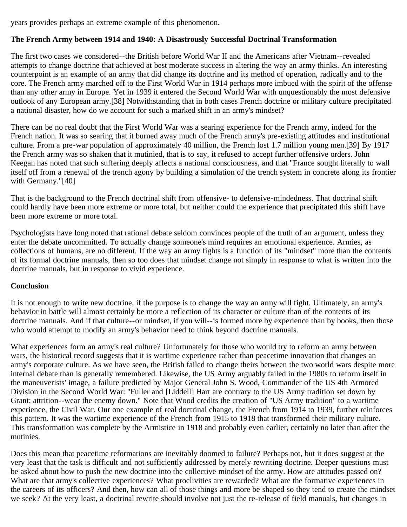years provides perhaps an extreme example of this phenomenon.

#### **The French Army between 1914 and 1940: A Disastrously Successful Doctrinal Transformation**

The first two cases we considered--the British before World War II and the Americans after Vietnam--revealed attempts to change doctrine that achieved at best moderate success in altering the way an army thinks. An interesting counterpoint is an example of an army that did change its doctrine and its method of operation, radically and to the core. The French army marched off to the First World War in 1914 perhaps more imbued with the spirit of the offense than any other army in Europe. Yet in 1939 it entered the Second World War with unquestionably the most defensive outlook of any European army.[38] Notwithstanding that in both cases French doctrine or military culture precipitated a national disaster, how do we account for such a marked shift in an army's mindset?

There can be no real doubt that the First World War was a searing experience for the French army, indeed for the French nation. It was so searing that it burned away much of the French army's pre-existing attitudes and institutional culture. From a pre-war population of approximately 40 million, the French lost 1.7 million young men.[39] By 1917 the French army was so shaken that it mutinied, that is to say, it refused to accept further offensive orders. John Keegan has noted that such suffering deeply affects a national consciousness, and that "France sought literally to wall itself off from a renewal of the trench agony by building a simulation of the trench system in concrete along its frontier with Germany."[40]

That is the background to the French doctrinal shift from offensive- to defensive-mindedness. That doctrinal shift could hardly have been more extreme or more total, but neither could the experience that precipitated this shift have been more extreme or more total.

Psychologists have long noted that rational debate seldom convinces people of the truth of an argument, unless they enter the debate uncommitted. To actually change someone's mind requires an emotional experience. Armies, as collections of humans, are no different. If the way an army fights is a function of its "mindset" more than the contents of its formal doctrine manuals, then so too does that mindset change not simply in response to what is written into the doctrine manuals, but in response to vivid experience.

#### **Conclusion**

It is not enough to write new doctrine, if the purpose is to change the way an army will fight. Ultimately, an army's behavior in battle will almost certainly be more a reflection of its character or culture than of the contents of its doctrine manuals. And if that culture--or mindset, if you will--is formed more by experience than by books, then those who would attempt to modify an army's behavior need to think beyond doctrine manuals.

What experiences form an army's real culture? Unfortunately for those who would try to reform an army between wars, the historical record suggests that it is wartime experience rather than peacetime innovation that changes an army's corporate culture. As we have seen, the British failed to change theirs between the two world wars despite more internal debate than is generally remembered. Likewise, the US Army arguably failed in the 1980s to reform itself in the maneuverists' image, a failure predicted by Major General John S. Wood, Commander of the US 4th Armored Division in the Second World War: "Fuller and [Liddell] Hart are contrary to the US Army tradition set down by Grant: attrition--wear the enemy down." Note that Wood credits the creation of "US Army tradition" to a wartime experience, the Civil War. Our one example of real doctrinal change, the French from 1914 to 1939, further reinforces this pattern. It was the wartime experience of the French from 1915 to 1918 that transformed their military culture. This transformation was complete by the Armistice in 1918 and probably even earlier, certainly no later than after the mutinies.

Does this mean that peacetime reformations are inevitably doomed to failure? Perhaps not, but it does suggest at the very least that the task is difficult and not sufficiently addressed by merely rewriting doctrine. Deeper questions must be asked about how to push the new doctrine into the collective mindset of the army. How are attitudes passed on? What are that army's collective experiences? What proclivities are rewarded? What are the formative experiences in the careers of its officers? And then, how can all of those things and more be shaped so they tend to create the mindset we seek? At the very least, a doctrinal rewrite should involve not just the re-release of field manuals, but changes in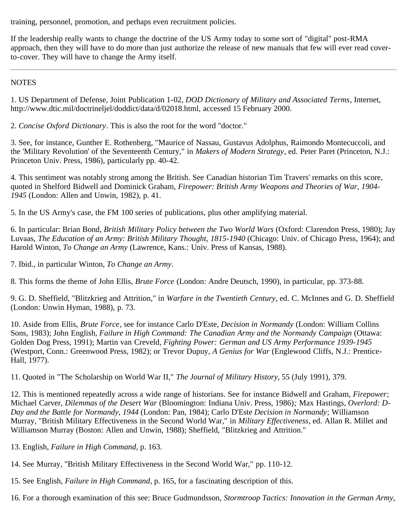training, personnel, promotion, and perhaps even recruitment policies.

If the leadership really wants to change the doctrine of the US Army today to some sort of "digital" post-RMA approach, then they will have to do more than just authorize the release of new manuals that few will ever read coverto-cover. They will have to change the Army itself.

### **NOTES**

1. US Department of Defense, Joint Publication 1-02, *DOD Dictionary of Military and Associated Terms*, Internet, http://www.dtic.mil/doctrineljel/doddict/data/d/02018.html, accessed 15 February 2000.

2. *Concise Oxford Dictionary*. This is also the root for the word "doctor."

3. See, for instance, Gunther E. Rothenberg, "Maurice of Nassau, Gustavus Adolphus, Raimondo Montecuccoli, and the 'Military Revolution' of the Seventeenth Century," in *Makers of Modern Strategy*, ed. Peter Paret (Princeton, N.J.: Princeton Univ. Press, 1986), particularly pp. 40-42.

4. This sentiment was notably strong among the British. See Canadian historian Tim Travers' remarks on this score, quoted in Shelford Bidwell and Dominick Graham, *Firepower: British Army Weapons and Theories of War, 1904- 1945* (London: Allen and Unwin, 1982), p. 41.

5. In the US Army's case, the FM 100 series of publications, plus other amplifying material.

6. In particular: Brian Bond, *British Military Policy between the Two World Wars* (Oxford: Clarendon Press, 1980); Jay Luvaas, *The Education of an Army: British Military Thought, 1815-1940* (Chicago: Univ. of Chicago Press, 1964); and Harold Winton, *To Change an Army* (Lawrence, Kans.: Univ. Press of Kansas, 1988).

7. Ibid., in particular Winton, *To Change an Army*.

8. This forms the theme of John Ellis, *Brute Force* (London: Andre Deutsch, 1990), in particular, pp. 373-88.

9. G. D. Sheffield, "Blitzkrieg and Attrition," in *Warfare in the Twentieth Century*, ed. C. McInnes and G. D. Sheffield (London: Unwin Hyman, 1988), p. 73.

10. Aside from Ellis, *Brute Force*, see for instance Carlo D'Este, *Decision in Normandy* (London: William Collins Sons, 1983); John English, *Failure in High Command: The Canadian Army and the Normandy Campaign* (Ottawa: Golden Dog Press, 1991); Martin van Creveld, *Fighting Power: German and US Army Performance 1939-1945* (Westport, Conn.: Greenwood Press, 1982); or Trevor Dupuy, *A Genius for War* (Englewood Cliffs, N.J.: Prentice-Hall, 1977).

11. Quoted in "The Scholarship on World War II," *The Journal of Military History*, 55 (July 1991), 379.

12. This is mentioned repeatedly across a wide range of historians. See for instance Bidwell and Graham, *Firepower*; Michael Carver, *Dilemmas of the Desert War* (Bloomington: Indiana Univ. Press, 1986)*;* Max Hastings, *Overlord: D-Day and the Battle for Normandy, 1944* (London: Pan, 1984); Carlo D'Este *Decision in Normandy*; Williamson Murray, "British Military Effectiveness in the Second World War," in *Military Effectiveness*, ed. Allan R. Millet and Williamson Murray (Boston: Allen and Unwin, 1988); Sheffield, "Blitzkrieg and Attrition."

- 13. English, *Failure in High Command*, p. 163.
- 14. See Murray, "British Military Effectiveness in the Second World War," pp. 110-12.
- 15. See English, *Failure in High Command*, p. 165, for a fascinating description of this.
- 16. For a thorough examination of this see: Bruce Gudmundsson, *Stormtroop Tactics: Innovation in the German Army,*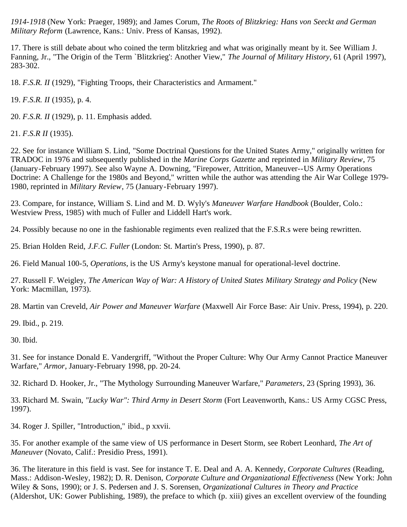*1914-1918* (New York: Praeger, 1989); and James Corum, *The Roots of Blitzkrieg: Hans von Seeckt and German Military Reform* (Lawrence, Kans.: Univ. Press of Kansas, 1992).

17. There is still debate about who coined the term blitzkrieg and what was originally meant by it. See William J. Fanning, Jr., "The Origin of the Term `Blitzkrieg': Another View," *The Journal of Military History*, 61 (April 1997), 283-302.

18. *F.S.R. II* (1929), "Fighting Troops, their Characteristics and Armament."

19. *F.S.R. II* (1935), p. 4.

20. *F.S.R. II* (1929), p. 11. Emphasis added.

21. *F.S.R II* (1935).

22. See for instance William S. Lind, "Some Doctrinal Questions for the United States Army," originally written for TRADOC in 1976 and subsequently published in the *Marine Corps Gazette* and reprinted in *Military Review*, 75 (January-February 1997). See also Wayne A. Downing, "Firepower, Attrition, Maneuver--US Army Operations Doctrine: A Challenge for the 1980s and Beyond," written while the author was attending the Air War College 1979- 1980, reprinted in *Military Review*, 75 (January-February 1997).

23. Compare, for instance, William S. Lind and M. D. Wyly's *Maneuver Warfare Handbook* (Boulder, Colo.: Westview Press, 1985) with much of Fuller and Liddell Hart's work.

24. Possibly because no one in the fashionable regiments even realized that the F.S.R.s were being rewritten.

25. Brian Holden Reid, *J.F.C. Fuller* (London: St. Martin's Press, 1990), p. 87.

26. Field Manual 100-5, *Operations*, is the US Army's keystone manual for operational-level doctrine.

27. Russell F. Weigley, *The American Way of War: A History of United States Military Strategy and Policy* (New York: Macmillan, 1973).

28. Martin van Creveld, *Air Power and Maneuver Warfare* (Maxwell Air Force Base: Air Univ. Press, 1994), p. 220.

29. Ibid., p. 219.

30. Ibid.

31. See for instance Donald E. Vandergriff, "Without the Proper Culture: Why Our Army Cannot Practice Maneuver Warfare," *Armor*, January-February 1998, pp. 20-24.

32. Richard D. Hooker, Jr., "The Mythology Surrounding Maneuver Warfare," *Parameters*, 23 (Spring 1993), 36.

33. Richard M. Swain, *"Lucky War": Third Army in Desert Storm* (Fort Leavenworth, Kans.: US Army CGSC Press, 1997).

34. Roger J. Spiller, "Introduction," ibid., p xxvii.

35. For another example of the same view of US performance in Desert Storm, see Robert Leonhard, *The Art of Maneuver* (Novato, Calif.: Presidio Press, 1991).

36. The literature in this field is vast. See for instance T. E. Deal and A. A. Kennedy, *Corporate Cultures* (Reading, Mass.: Addison-Wesley, 1982); D. R. Denison, *Corporate Culture and Organizational Effectiveness* (New York: John Wiley & Sons, 1990); or J. S. Pedersen and J. S. Sorensen, *Organizational Cultures in Theory and Practice* (Aldershot, UK: Gower Publishing, 1989), the preface to which (p. xiii) gives an excellent overview of the founding